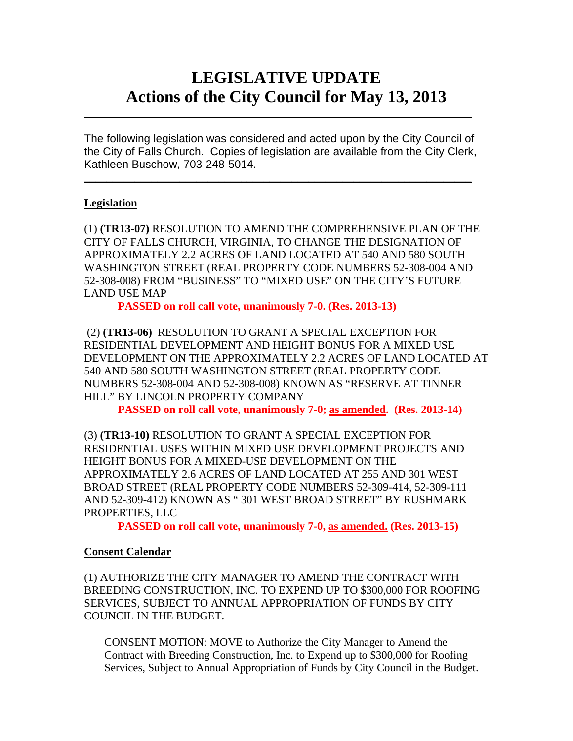# **LEGISLATIVE UPDATE Actions of the City Council for May 13, 2013**

The following legislation was considered and acted upon by the City Council of the City of Falls Church. Copies of legislation are available from the City Clerk, Kathleen Buschow, 703-248-5014.

 $\blacksquare$ 

 $\mathcal{L}_\text{max}$  and  $\mathcal{L}_\text{max}$  and  $\mathcal{L}_\text{max}$  and  $\mathcal{L}_\text{max}$  and  $\mathcal{L}_\text{max}$  and  $\mathcal{L}_\text{max}$ 

## **Legislation**

(1) **(TR13-07)** RESOLUTION TO AMEND THE COMPREHENSIVE PLAN OF THE CITY OF FALLS CHURCH, VIRGINIA, TO CHANGE THE DESIGNATION OF APPROXIMATELY 2.2 ACRES OF LAND LOCATED AT 540 AND 580 SOUTH WASHINGTON STREET (REAL PROPERTY CODE NUMBERS 52-308-004 AND 52-308-008) FROM "BUSINESS" TO "MIXED USE" ON THE CITY'S FUTURE LAND USE MAP

**PASSED on roll call vote, unanimously 7-0. (Res. 2013-13)** 

(2) **(TR13-06)** RESOLUTION TO GRANT A SPECIAL EXCEPTION FOR RESIDENTIAL DEVELOPMENT AND HEIGHT BONUS FOR A MIXED USE DEVELOPMENT ON THE APPROXIMATELY 2.2 ACRES OF LAND LOCATED AT 540 AND 580 SOUTH WASHINGTON STREET (REAL PROPERTY CODE NUMBERS 52-308-004 AND 52-308-008) KNOWN AS "RESERVE AT TINNER HILL" BY LINCOLN PROPERTY COMPANY

**PASSED on roll call vote, unanimously 7-0; as amended. (Res. 2013-14)** 

(3) **(TR13-10)** RESOLUTION TO GRANT A SPECIAL EXCEPTION FOR RESIDENTIAL USES WITHIN MIXED USE DEVELOPMENT PROJECTS AND HEIGHT BONUS FOR A MIXED-USE DEVELOPMENT ON THE APPROXIMATELY 2.6 ACRES OF LAND LOCATED AT 255 AND 301 WEST BROAD STREET (REAL PROPERTY CODE NUMBERS 52-309-414, 52-309-111 AND 52-309-412) KNOWN AS " 301 WEST BROAD STREET" BY RUSHMARK PROPERTIES, LLC

**PASSED on roll call vote, unanimously 7-0, as amended. (Res. 2013-15)** 

#### **Consent Calendar**

(1) AUTHORIZE THE CITY MANAGER TO AMEND THE CONTRACT WITH BREEDING CONSTRUCTION, INC. TO EXPEND UP TO \$300,000 FOR ROOFING SERVICES, SUBJECT TO ANNUAL APPROPRIATION OF FUNDS BY CITY COUNCIL IN THE BUDGET.

CONSENT MOTION: MOVE to Authorize the City Manager to Amend the Contract with Breeding Construction, Inc. to Expend up to \$300,000 for Roofing Services, Subject to Annual Appropriation of Funds by City Council in the Budget.